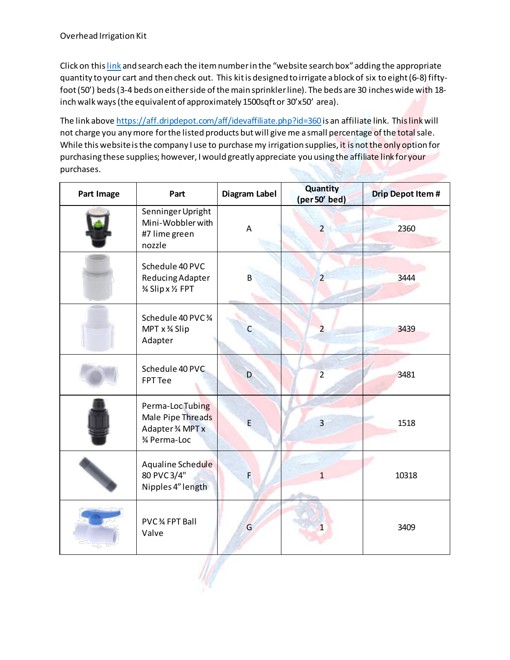Click on thi[s link](https://aff.dripdepot.com/aff/idevaffiliate.php?id=360) and search each the item number in the "website search box" adding the appropriate quantity to your cart and then check out. This kit is designed to irrigate a block of six to eight (6-8) fiftyfoot(50') beds(3-4 beds on either side of the main sprinkler line). The beds are 30 inches wide with 18 inch walk ways(the equivalent of approximately 1500sqft or 30'x50' area).

The link abov[e https://aff.dripdepot.com/aff/idevaffiliate.php?id=360](https://aff.dripdepot.com/aff/idevaffiliate.php?id=360) is an affiliate link. This link will not charge you any more for the listed products but will give me a small percentage of the total sale. While this website is the company I use to purchase my irrigation supplies, it is not the only option for purchasing these supplies; however, I would greatly appreciate you using the affiliate link for your purchases.

| Part Image | Part                                                                     | Diagram Label | Quantity<br>(per 50' bed) | <b>Drip Depot Item #</b> |
|------------|--------------------------------------------------------------------------|---------------|---------------------------|--------------------------|
|            | Senninger Upright<br>Mini-Wobbler with<br>#7 lime green<br>nozzle        | A             | $\overline{2}$            | 2360                     |
|            | Schedule 40 PVC<br>Reducing Adapter<br>% Slip x 1/2 FPT                  | B             | $\overline{2}$            | 3444                     |
|            | Schedule 40 PVC 3/4<br>MPT x % Slip<br>Adapter                           | С             | $\overline{2}$            | 3439                     |
|            | Schedule 40 PVC<br><b>FPT Tee</b>                                        | D             | $\overline{2}$            | 3481                     |
|            | Perma-LocTubing<br>Male Pipe Threads<br>Adapter 3⁄4 MPT x<br>% Perma-Loc | E             | $\overline{\mathbf{3}}$   | 1518                     |
|            | Aqualine Schedule<br>80 PVC 3/4"<br>Nipples 4" length                    | F             | $\overline{1}$            | 10318                    |
|            | PVC 34 FPT Ball<br>Valve                                                 | G             | $\mathbf{1}$              | 3409                     |